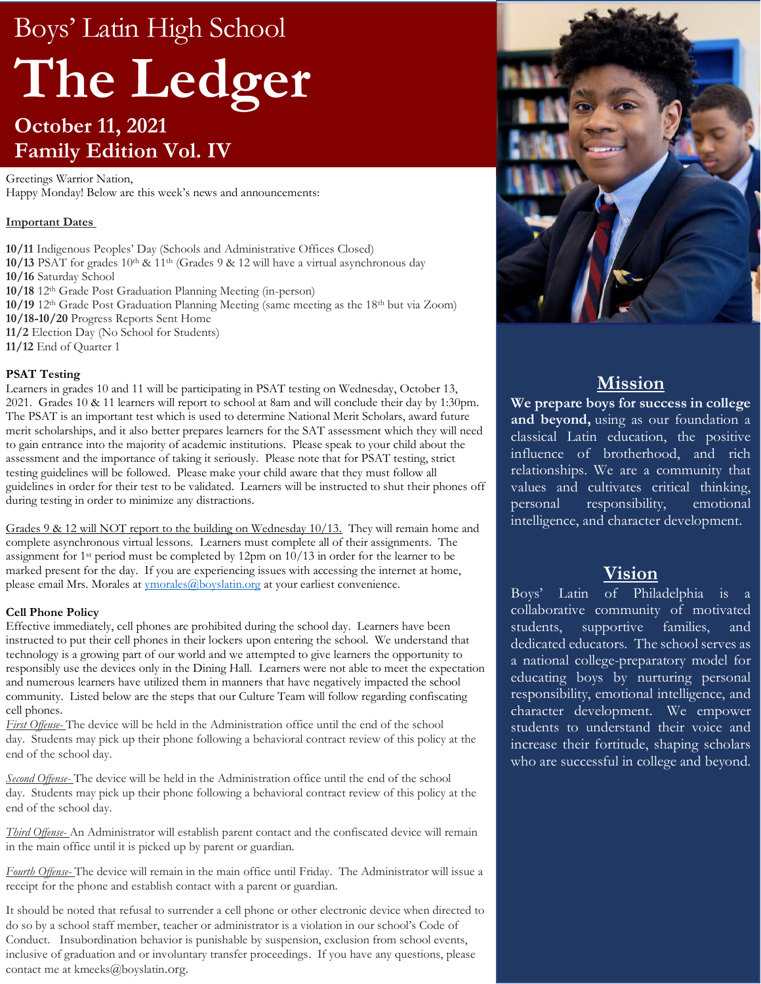# Boys' Latin High School **The Ledger October 11, 2021 Family Edition Vol. IV**

Greetings Warrior Nation, Happy Monday! Below are this week's news and announcements:

# **Important Dates**

**10/11** Indigenous Peoples' Day (Schools and Administrative Offices Closed) **10/13** PSAT for grades 10th & 11th (Grades 9 & 12 will have a virtual asynchronous day **10/16** Saturday School **10/18** 12th Grade Post Graduation Planning Meeting (in-person) **10/19** 12th Grade Post Graduation Planning Meeting (same meeting as the 18th but via Zoom) **10/18-10/20** Progress Reports Sent Home

**11/2** Election Day (No School for Students)

**11/12** End of Quarter 1

### **PSAT Testing**

Learners in grades 10 and 11 will be participating in PSAT testing on Wednesday, October 13, 2021. Grades 10 & 11 learners will report to school at 8am and will conclude their day by 1:30pm. The PSAT is an important test which is used to determine National Merit Scholars, award future merit scholarships, and it also better prepares learners for the SAT assessment which they will need to gain entrance into the majority of academic institutions. Please speak to your child about the assessment and the importance of taking it seriously. Please note that for PSAT testing, strict testing guidelines will be followed. Please make your child aware that they must follow all guidelines in order for their test to be validated. Learners will be instructed to shut their phones off during testing in order to minimize any distractions.

Grades 9 & 12 will NOT report to the building on Wednesday  $10/13$ . They will remain home and complete asynchronous virtual lessons. Learners must complete all of their assignments. The assignment for 1st period must be completed by 12pm on 10/13 in order for the learner to be marked present for the day. If you are experiencing issues with accessing the internet at home, please email Mrs. Morales at [ymorales@boyslatin.org](mailto:ymorales@boyslatin.org) at your earliest convenience.

### **Cell Phone Policy**

Effective immediately, cell phones are prohibited during the school day. Learners have been instructed to put their cell phones in their lockers upon entering the school. We understand that technology is a growing part of our world and we attempted to give learners the opportunity to responsibly use the devices only in the Dining Hall. Learners were not able to meet the expectation and numerous learners have utilized them in manners that have negatively impacted the school community. Listed below are the steps that our Culture Team will follow regarding confiscating cell phones.

*First Offense-* The device will be held in the Administration office until the end of the school day. Students may pick up their phone following a behavioral contract review of this policy at the end of the school day.

*Second Offense-* The device will be held in the Administration office until the end of the school day. Students may pick up their phone following a behavioral contract review of this policy at the end of the school day.

*Third Offense-* An Administrator will establish parent contact and the confiscated device will remain in the main office until it is picked up by parent or guardian.

*Fourth Offense-* The device will remain in the main office until Friday. The Administrator will issue a receipt for the phone and establish contact with a parent or guardian.

It should be noted that refusal to surrender a cell phone or other electronic device when directed to do so by a school staff member, teacher or administrator is a violation in our school's Code of Conduct. Insubordination behavior is punishable by suspension, exclusion from school events, inclusive of graduation and or involuntary transfer proceedings. If you have any questions, please contact me at kmeeks@boyslatin.org.



# **Mission**

**We prepare boys for success in college and beyond,** using as our foundation a classical Latin education, the positive influence of brotherhood, and rich relationships. We are a community that values and cultivates critical thinking, personal responsibility, emotional intelligence, and character development.

# **Vision**

Boys' Latin of Philadelphia is a collaborative community of motivated students, supportive families, and dedicated educators. The school serves as a national college-preparatory model for educating boys by nurturing personal responsibility, emotional intelligence, and character development. We empower students to understand their voice and increase their fortitude, shaping scholars who are successful in college and beyond.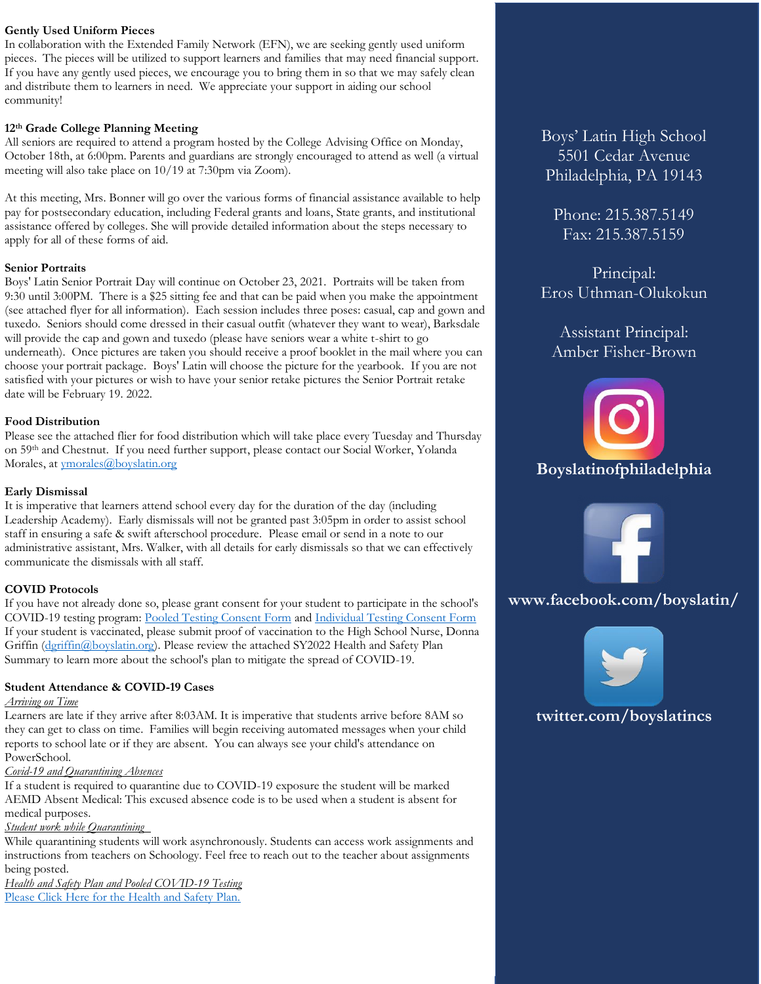# **Gently Used Uniform Pieces**

In collaboration with the Extended Family Network (EFN), we are seeking gently used uniform pieces. The pieces will be utilized to support learners and families that may need financial support. If you have any gently used pieces, we encourage you to bring them in so that we may safely clean and distribute them to learners in need. We appreciate your support in aiding our school community!

## **12th Grade College Planning Meeting**

All seniors are required to attend a program hosted by the College Advising Office on Monday, October 18th, at 6:00pm. Parents and guardians are strongly encouraged to attend as well (a virtual meeting will also take place on 10/19 at 7:30pm via Zoom).

At this meeting, Mrs. Bonner will go over the various forms of financial assistance available to help pay for postsecondary education, including Federal grants and loans, State grants, and institutional assistance offered by colleges. She will provide detailed information about the steps necessary to apply for all of these forms of aid.

### **Senior Portraits**

Boys' Latin Senior Portrait Day will continue on October 23, 2021. Portraits will be taken from 9:30 until 3:00PM. There is a \$25 sitting fee and that can be paid when you make the appointment (see attached flyer for all information). Each session includes three poses: casual, cap and gown and tuxedo. Seniors should come dressed in their casual outfit (whatever they want to wear), Barksdale will provide the cap and gown and tuxedo (please have seniors wear a white t-shirt to go underneath). Once pictures are taken you should receive a proof booklet in the mail where you can choose your portrait package. Boys' Latin will choose the picture for the yearbook. If you are not satisfied with your pictures or wish to have your senior retake pictures the Senior Portrait retake date will be February 19. 2022.

# **Food Distribution**

Please see the attached flier for food distribution which will take place every Tuesday and Thursday on 59th and Chestnut. If you need further support, please contact our Social Worker, Yolanda Morales, at [ymorales@boyslatin.org](mailto:ymorales@boyslatin.org)

### **Early Dismissal**

It is imperative that learners attend school every day for the duration of the day (including Leadership Academy). Early dismissals will not be granted past 3:05pm in order to assist school staff in ensuring a safe & swift afterschool procedure. Please email or send in a note to our administrative assistant, Mrs. Walker, with all details for early dismissals so that we can effectively communicate the dismissals with all staff.

### **COVID Protocols**

If you have not already done so, please grant consent for your student to participate in the school's COVID-19 testing program: [Pooled Testing Consent Form](https://na4.docusign.net/Member/PowerFormSigning.aspx?PowerFormId=8f272a0f-ef08-439d-b80e-d3f8ceb509c2&env=na4&acct=4689194e-670f-4988-a7e6-b2d9f83f9094&v=2) and [Individual Testing Consent Form](https://na4.docusign.net/Member/PowerFormSigning.aspx?PowerFormId=df21a61a-8f27-4a38-984e-22d27fb6763c&env=na4&acct=4689194e-670f-4988-a7e6-b2d9f83f9094&v=2) If your student is vaccinated, please submit proof of vaccination to the High School Nurse, Donna Griffin (deriffin@boyslatin.org). Please review the attached SY2022 Health and Safety Plan Summary to learn more about the school's plan to mitigate the spread of COVID-19.

# **Student Attendance & COVID-19 Cases**

# *Arriving on Time*

Learners are late if they arrive after 8:03AM. It is imperative that students arrive before 8AM so they can get to class on time. Families will begin receiving automated messages when your child reports to school late or if they are absent. You can always see your child's attendance on PowerSchool.

# *Covid-19 and Quarantining Absences*

If a student is required to quarantine due to COVID-19 exposure the student will be marked AEMD Absent Medical: This excused absence code is to be used when a student is absent for medical purposes.

# *Student work while Quarantining*

While quarantining students will work asynchronously. Students can access work assignments and instructions from teachers on Schoology. Feel free to reach out to the teacher about assignments being posted.

*Health and Safety Plan and Pooled COVID-19 Testing* [Please Click Here for the Health and Safety Plan.](https://www.boyslatin.org/planfor202122)

Boys' Latin High School 5501 Cedar Avenue Philadelphia, PA 19143

Phone: 215.387.5149 Fax: 215.387.5159

Principal: Eros Uthman-Olukokun

# Assistant Principal: Amber Fisher-Brown





**www.facebook.com/boyslatin/**



**twitter.com/boyslatincs**